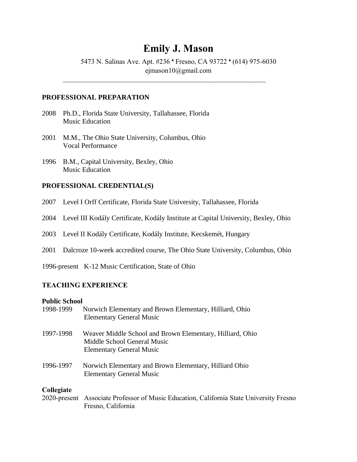# **Emily J. Mason**

5473 N. Salinas Ave. Apt. #236 \* Fresno, CA 93722 \* (614) 975-6030 ejmason10@gmail.com

#### **PROFESSIONAL PREPARATION**

- 2008 Ph.D., Florida State University, Tallahassee, Florida Music Education
- 2001 M.M., The Ohio State University, Columbus, Ohio Vocal Performance
- 1996 B.M., Capital University, Bexley, Ohio Music Education

#### **PROFESSIONAL CREDENTIAL(S)**

- 2007 Level I Orff Certificate, Florida State University, Tallahassee, Florida
- 2004 Level III Kodály Certificate, Kodály Institute at Capital University, Bexley, Ohio
- 2003 Level II Kodály Certificate, Kodály Institute, Kecskemét, Hungary
- 2001 Dalcroze 10-week accredited course, The Ohio State University, Columbus, Ohio
- 1996-present K-12 Music Certification, State of Ohio

## **TEACHING EXPERIENCE**

#### **Public School**

| 1998-1999  | Norwich Elementary and Brown Elementary, Hilliard, Ohio<br><b>Elementary General Music</b>                                  |
|------------|-----------------------------------------------------------------------------------------------------------------------------|
| 1997-1998  | Weaver Middle School and Brown Elementary, Hilliard, Ohio<br>Middle School General Music<br><b>Elementary General Music</b> |
| 1996-1997  | Norwich Elementary and Brown Elementary, Hilliard Ohio<br><b>Elementary General Music</b>                                   |
| Collegiate |                                                                                                                             |

2020-present Associate Professor of Music Education, California State University Fresno Fresno, California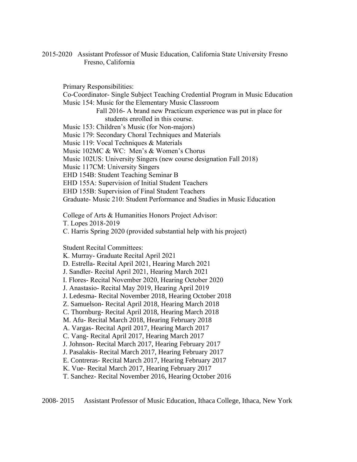2015-2020 Assistant Professor of Music Education, California State University Fresno Fresno, California

Primary Responsibilities: Co-Coordinator- Single Subject Teaching Credential Program in Music Education Music 154: Music for the Elementary Music Classroom Fall 2016- A brand new Practicum experience was put in place for students enrolled in this course. Music 153: Children's Music (for Non-majors) Music 179: Secondary Choral Techniques and Materials Music 119: Vocal Techniques & Materials Music 102MC & WC: Men's & Women's Chorus Music 102US: University Singers (new course designation Fall 2018) Music 117CM: University Singers EHD 154B: Student Teaching Seminar B EHD 155A: Supervision of Initial Student Teachers EHD 155B: Supervision of Final Student Teachers Graduate- Music 210: Student Performance and Studies in Music Education

College of Arts & Humanities Honors Project Advisor:

T. Lopes 2018-2019

C. Harris Spring 2020 (provided substantial help with his project)

Student Recital Committees:

K. Murray- Graduate Recital April 2021

D. Estrella- Recital April 2021, Hearing March 2021

J. Sandler- Recital April 2021, Hearing March 2021

I. Flores- Recital November 2020, Hearing October 2020

J. Anastasio- Recital May 2019, Hearing April 2019

J. Ledesma- Recital November 2018, Hearing October 2018

Z. Samuelson- Recital April 2018, Hearing March 2018

C. Thornburg- Recital April 2018, Hearing March 2018

M. Afu- Recital March 2018, Hearing February 2018

A. Vargas- Recital April 2017, Hearing March 2017

C. Vang- Recital April 2017, Hearing March 2017

J. Johnson- Recital March 2017, Hearing February 2017

J. Pasalakis- Recital March 2017, Hearing February 2017

E. Contreras- Recital March 2017, Hearing February 2017

K. Vue- Recital March 2017, Hearing February 2017

T. Sanchez- Recital November 2016, Hearing October 2016

2008- 2015 Assistant Professor of Music Education, Ithaca College, Ithaca, New York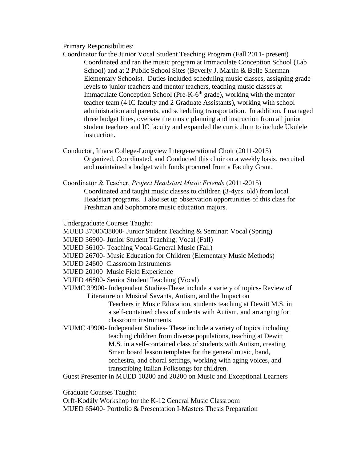#### Primary Responsibilities:

- Coordinator for the Junior Vocal Student Teaching Program (Fall 2011- present) Coordinated and ran the music program at Immaculate Conception School (Lab School) and at 2 Public School Sites (Beverly J. Martin & Belle Sherman Elementary Schools). Duties included scheduling music classes, assigning grade levels to junior teachers and mentor teachers, teaching music classes at Immaculate Conception School (Pre-K-6<sup>th</sup> grade), working with the mentor teacher team (4 IC faculty and 2 Graduate Assistants), working with school administration and parents, and scheduling transportation. In addition, I managed three budget lines, oversaw the music planning and instruction from all junior student teachers and IC faculty and expanded the curriculum to include Ukulele instruction.
- Conductor, Ithaca College-Longview Intergenerational Choir (2011-2015) Organized, Coordinated, and Conducted this choir on a weekly basis, recruited and maintained a budget with funds procured from a Faculty Grant.
- Coordinator & Teacher, *Project Headstart Music Friends* (2011-2015) Coordinated and taught music classes to children (3-4yrs. old) from local Headstart programs. I also set up observation opportunities of this class for Freshman and Sophomore music education majors.

Undergraduate Courses Taught:

MUED 37000/38000- Junior Student Teaching & Seminar: Vocal (Spring)

- MUED 36900- Junior Student Teaching: Vocal (Fall)
- MUED 36100- Teaching Vocal-General Music (Fall)
- MUED 26700- Music Education for Children (Elementary Music Methods)
- MUED 24600 Classroom Instruments
- MUED 20100 Music Field Experience
- MUED 46800- Senior Student Teaching (Vocal)
- MUMC 39900- Independent Studies-These include a variety of topics- Review of Literature on Musical Savants, Autism, and the Impact on

Teachers in Music Education, students teaching at Dewitt M.S. in a self-contained class of students with Autism, and arranging for classroom instruments.

MUMC 49900- Independent Studies- These include a variety of topics including teaching children from diverse populations, teaching at Dewitt M.S. in a self-contained class of students with Autism, creating Smart board lesson templates for the general music, band, orchestra, and choral settings, working with aging voices, and transcribing Italian Folksongs for children.

Guest Presenter in MUED 10200 and 20200 on Music and Exceptional Learners

Graduate Courses Taught:

Orff-Kodály Workshop for the K-12 General Music Classroom MUED 65400- Portfolio & Presentation I-Masters Thesis Preparation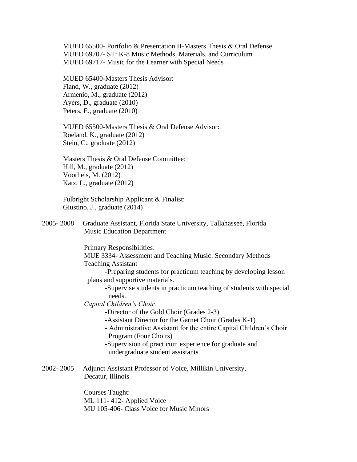MUED 65500- Portfolio & Presentation II-Masters Thesis & Oral Defense MUED 69707- ST: K-8 Music Methods, Materials, and Curriculum MUED 69717- Music for the Learner with Special Needs

MUED 65400-Masters Thesis Advisor: Fland, W., graduate (2012) Armenio, M., graduate (2012) Ayers, D., graduate (2010) Peters, E., graduate (2010)

MUED 65500-Masters Thesis & Oral Defense Advisor: Roeland, K., graduate (2012) Stein, C., graduate (2012)

Masters Thesis & Oral Defense Committee: Hill, M., graduate (2012) Voorheis, M. (2012) Katz, L., graduate (2012)

Fulbright Scholarship Applicant & Finalist: Giustino, J., graduate (2014)

2005- 2008 Graduate Assistant, Florida State University, Tallahassee, Florida Music Education Department

Primary Responsibilities: MUE 3334- Assessment and Teaching Music: Secondary Methods Teaching Assistant -Preparing students for practicum teaching by developing lesson plans and supportive materials. -Supervise students in practicum teaching of students with special needs. *Capital Children's Choir*  -Director of the Gold Choir (Grades 2-3) -Assistant Director for the Garnet Choir (Grades K-1) - Administrative Assistant for the entire Capital Children's Choir Program (Four Choirs) -Supervision of practicum experience for graduate and undergraduate student assistants 2002- 2005 Adjunct Assistant Professor of Voice, Millikin University, Decatur, Illinois

> Courses Taught: ML 111- 412- Applied Voice MU 105-406- Class Voice for Music Minors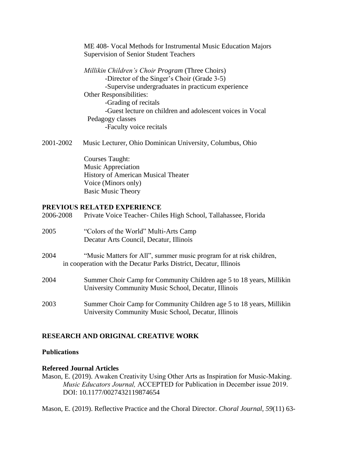ME 408- Vocal Methods for Instrumental Music Education Majors Supervision of Senior Student Teachers

*Millikin Children's Choir Program* (Three Choirs) -Director of the Singer's Choir (Grade 3-5) -Supervise undergraduates in practicum experience Other Responsibilities: -Grading of recitals -Guest lecture on children and adolescent voices in Vocal Pedagogy classes -Faculty voice recitals

2001-2002 Music Lecturer, Ohio Dominican University, Columbus, Ohio

Courses Taught: Music Appreciation History of American Musical Theater Voice (Minors only) Basic Music Theory

## **PREVIOUS RELATED EXPERIENCE**

| 2006-2008 | Private Voice Teacher- Chiles High School, Tallahassee, Florida                                                                          |
|-----------|------------------------------------------------------------------------------------------------------------------------------------------|
| 2005      | "Colors of the World" Multi-Arts Camp<br>Decatur Arts Council, Decatur, Illinois                                                         |
| 2004      | "Music Matters for All", summer music program for at risk children,<br>in cooperation with the Decatur Parks District, Decatur, Illinois |
| 2004      | Summer Choir Camp for Community Children age 5 to 18 years, Millikin<br>University Community Music School, Decatur, Illinois             |
| 2003      | Summer Choir Camp for Community Children age 5 to 18 years, Millikin<br>University Community Music School, Decatur, Illinois             |

## **RESEARCH AND ORIGINAL CREATIVE WORK**

## **Publications**

#### **Refereed Journal Articles**

Mason, E. (2019). Awaken Creativity Using Other Arts as Inspiration for Music-Making. *Music Educators Journal,* ACCEPTED for Publication in December issue 2019. DOI: 10.1177/0027432119874654

Mason, E. (2019). Reflective Practice and the Choral Director. *Choral Journal, 59*(11) 63-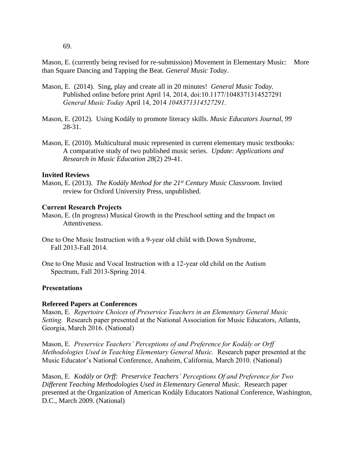69.

Mason, E. (currently being revised for re-submission) Movement in Elementary Music: More than Square Dancing and Tapping the Beat. *General Music Today*.

- Mason, E. (2014). Sing, play and create all in 20 minutes! *General Music Today.* Published online before print April 14, 2014, doi:10.1177/1048371314527291 *General Music Today* April 14, 2014 *1048371314527291*.
- Mason, E. (2012). Using Kodály to promote literacy skills. *Music Educators Journal, 99* 28-31.
- Mason, E. (2010). Multicultural music represented in current elementary music textbooks: A comparative study of two published music series. *Update: Applications and Research in Music Education 28*(2) 29-41.

## **Invited Reviews**

Mason, E. (2013). *The Kodály Method for the 21st Century Music Classroom*. Invited review for Oxford University Press, unpublished.

## **Current Research Projects**

- Mason, E. (In progress) Musical Growth in the Preschool setting and the Impact on Attentiveness.
- One to One Music Instruction with a 9-year old child with Down Syndrome, Fall 2013-Fall 2014.
- One to One Music and Vocal Instruction with a 12-year old child on the Autism Spectrum, Fall 2013-Spring 2014.

## **Presentations**

## **Refereed Papers at Conferences**

Mason, E. *Repertoire Choices of Preservice Teachers in an Elementary General Music Setting.* Research paper presented at the National Association for Music Educators, Atlanta, Georgia, March 2016. (National)

Mason, E*. Preservice Teachers' Perceptions of and Preference for Kodály or Orff Methodologies Used in Teaching Elementary General Music.* Research paper presented at the Music Educator's National Conference, Anaheim, California, March 2010. (National)

Mason, E*. Kodály or Orff: Preservice Teachers' Perceptions Of and Preference for Two Different Teaching Methodologies Used in Elementary General Music.* Research paper presented at the Organization of American Kodály Educators National Conference, Washington, D.C., March 2009. (National)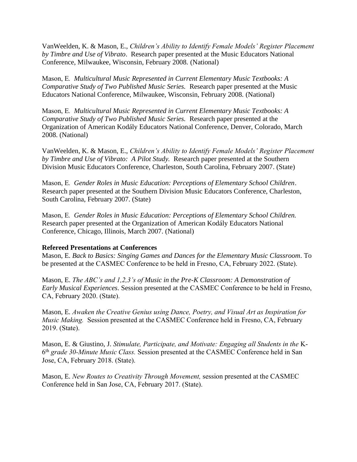VanWeelden, K. & Mason, E., *Children's Ability to Identify Female Models' Register Placement by Timbre and Use of Vibrato*.Research paper presented at the Music Educators National Conference, Milwaukee, Wisconsin, February 2008. (National)

Mason, E*. Multicultural Music Represented in Current Elementary Music Textbooks: A Comparative Study of Two Published Music Series.* Research paper presented at the Music Educators National Conference, Milwaukee, Wisconsin, February 2008. (National)

Mason, E*. Multicultural Music Represented in Current Elementary Music Textbooks: A Comparative Study of Two Published Music Series.* Research paper presented at the Organization of American Kodály Educators National Conference, Denver, Colorado, March 2008. (National)

VanWeelden, K. & Mason, E., *Children's Ability to Identify Female Models' Register Placement by Timbre and Use of Vibrato: A Pilot Study.* Research paper presented at the Southern Division Music Educators Conference, Charleston, South Carolina, February 2007. (State)

Mason, E*. Gender Roles in Music Education: Perceptions of Elementary School Children*. Research paper presented at the Southern Division Music Educators Conference, Charleston, South Carolina, February 2007. (State)

Mason, E*. Gender Roles in Music Education: Perceptions of Elementary School Children.*  Research paper presented at the Organization of American Kodály Educators National Conference, Chicago, Illinois, March 2007. (National)

## **Refereed Presentations at Conferences**

Mason, E. *Back to Basics: Singing Games and Dances for the Elementary Music Classroom.* To be presented at the CASMEC Conference to be held in Fresno, CA, February 2022. (State).

Mason, E. *The ABC's and 1,2,3's of Music in the Pre-K Classroom: A Demonstration of Early Musical Experiences.* Session presented at the CASMEC Conference to be held in Fresno, CA, February 2020. (State).

Mason, E. *Awaken the Creative Genius using Dance, Poetry, and Visual Art as Inspiration for Music Making.* Session presented at the CASMEC Conference held in Fresno, CA, February 2019. (State).

Mason, E. & Giustino, J. *Stimulate, Participate, and Motivate: Engaging all Students in the* K-6 th *grade 30-Minute Music Class.* Session presented at the CASMEC Conference held in San Jose, CA, February 2018. (State).

Mason, E. *New Routes to Creativity Through Movement,* session presented at the CASMEC Conference held in San Jose, CA, February 2017. (State).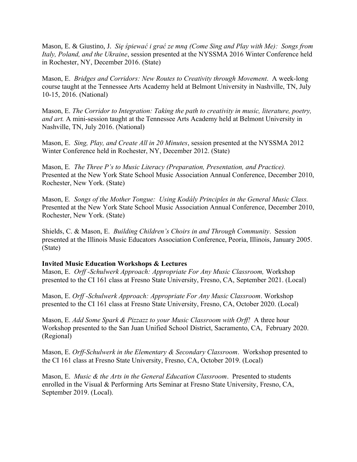Mason, E. & Giustino, J. *Się śpiewać i grać ze mną (Come Sing and Play with Me): Songs from Italy, Poland, and the Ukraine*, session presented at the NYSSMA 2016 Winter Conference held in Rochester, NY, December 2016. (State)

Mason, E. *Bridges and Corridors: New Routes to Creativity through Movement*. A week-long course taught at the Tennessee Arts Academy held at Belmont University in Nashville, TN, July 10-15, 2016. (National)

Mason, E. *The Corridor to Integration: Taking the path to creativity in music, literature, poetry, and art.* A mini-session taught at the Tennessee Arts Academy held at Belmont University in Nashville, TN, July 2016. (National)

Mason, E. *Sing, Play, and Create All in 20 Minutes*, session presented at the NYSSMA 2012 Winter Conference held in Rochester, NY, December 2012. (State)

Mason, E*. The Three P's to Music Literacy (Preparation, Presentation, and Practice).*  Presented at the New York State School Music Association Annual Conference, December 2010, Rochester, New York. (State)

Mason, E*. Songs of the Mother Tongue: Using Kodály Principles in the General Music Class.* Presented at the New York State School Music Association Annual Conference, December 2010, Rochester, New York. (State)

Shields, C. & Mason, E. *Building Children's Choirs in and Through Community*. Session presented at the Illinois Music Educators Association Conference, Peoria, Illinois, January 2005. (State)

## **Invited Music Education Workshops & Lectures**

Mason, E. *Orff -Schulwerk Approach: Appropriate For Any Music Classroom,* Workshop presented to the CI 161 class at Fresno State University, Fresno, CA, September 2021. (Local)

Mason, E. *Orff -Schulwerk Approach: Appropriate For Any Music Classroom*. Workshop presented to the CI 161 class at Fresno State University, Fresno, CA, October 2020. (Local)

Mason, E. *Add Some Spark & Pizzazz to your Music Classroom with Orff!* A three hour Workshop presented to the San Juan Unified School District, Sacramento, CA, February 2020. (Regional)

Mason, E. *Orff-Schulwerk in the Elementary & Secondary Classroom*. Workshop presented to the CI 161 class at Fresno State University, Fresno, CA, October 2019. (Local)

Mason, E. *Music & the Arts in the General Education Classroom*. Presented to students enrolled in the Visual & Performing Arts Seminar at Fresno State University, Fresno, CA, September 2019. (Local).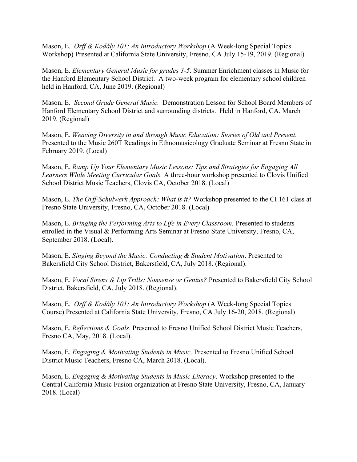Mason, E. *Orff & Kodály 101: An Introductory Workshop* (A Week-long Special Topics Workshop) Presented at California State University, Fresno, CA July 15-19, 2019. (Regional)

Mason, E. *Elementary General Music for grades 3-5*. Summer Enrichment classes in Music for the Hanford Elementary School District. A two-week program for elementary school children held in Hanford, CA, June 2019. (Regional)

Mason, E. *Second Grade General Music.* Demonstration Lesson for School Board Members of Hanford Elementary School District and surrounding districts. Held in Hanford, CA, March 2019. (Regional)

Mason, E. *Weaving Diversity in and through Music Education: Stories of Old and Present.* Presented to the Music 260T Readings in Ethnomusicology Graduate Seminar at Fresno State in February 2019. (Local)

Mason, E. *Ramp Up Your Elementary Music Lessons: Tips and Strategies for Engaging All Learners While Meeting Curricular Goals.* A three-hour workshop presented to Clovis Unified School District Music Teachers, Clovis CA, October 2018. (Local)

Mason, E. *The Orff-Schulwerk Approach: What is it?* Workshop presented to the CI 161 class at Fresno State University, Fresno, CA, October 2018. (Local)

Mason, E. *Bringing the Performing Arts to Life in Every Classroom.* Presented to students enrolled in the Visual & Performing Arts Seminar at Fresno State University, Fresno, CA, September 2018. (Local).

Mason, E. *Singing Beyond the Music: Conducting & Student Motivation*. Presented to Bakersfield City School District, Bakersfield, CA, July 2018. (Regional).

Mason, E. *Vocal Sirens & Lip Trills: Nonsense or Genius?* Presented to Bakersfield City School District, Bakersfield, CA, July 2018. (Regional).

Mason, E. *Orff & Kodály 101: An Introductory Workshop* (A Week-long Special Topics Course) Presented at California State University, Fresno, CA July 16-20, 2018. (Regional)

Mason, E. *Reflections & Goals*. Presented to Fresno Unified School District Music Teachers, Fresno CA, May, 2018. (Local).

Mason, E. *Engaging & Motivating Students in Music.* Presented to Fresno Unified School District Music Teachers, Fresno CA, March 2018. (Local).

Mason, E. *Engaging & Motivating Students in Music Literacy*. Workshop presented to the Central California Music Fusion organization at Fresno State University, Fresno, CA, January 2018. (Local)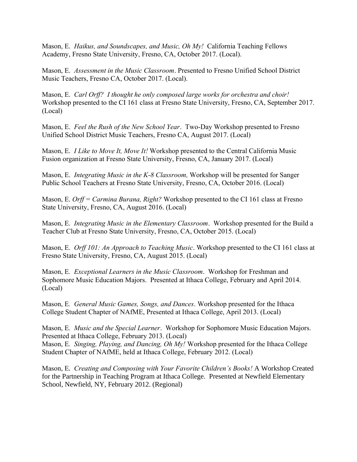Mason, E. *Haikus, and Soundscapes, and Music, Oh My!* California Teaching Fellows Academy, Fresno State University, Fresno, CA, October 2017. (Local).

Mason, E. *Assessment in the Music Classroom*. Presented to Fresno Unified School District Music Teachers, Fresno CA, October 2017. (Local).

Mason, E. *Carl Orff? I thought he only composed large works for orchestra and choir!* Workshop presented to the CI 161 class at Fresno State University, Fresno, CA, September 2017. (Local)

Mason, E. *Feel the Rush of the New School Year*. Two-Day Workshop presented to Fresno Unified School District Music Teachers, Fresno CA, August 2017. (Local)

Mason, E. *I Like to Move It, Move It!* Workshop presented to the Central California Music Fusion organization at Fresno State University, Fresno, CA, January 2017. (Local)

Mason, E. *Integrating Music in the K-8 Classroom,* Workshop will be presented for Sanger Public School Teachers at Fresno State University, Fresno, CA, October 2016. (Local)

Mason, E. *Orff = Carmina Burana, Right?* Workshop presented to the CI 161 class at Fresno State University, Fresno, CA, August 2016. (Local)

Mason, E. *Integrating Music in the Elementary Classroom*. Workshop presented for the Build a Teacher Club at Fresno State University, Fresno, CA, October 2015. (Local)

Mason, E. *Orff 101: An Approach to Teaching Music*. Workshop presented to the CI 161 class at Fresno State University, Fresno, CA, August 2015. (Local)

Mason, E*. Exceptional Learners in the Music Classroom*. Workshop for Freshman and Sophomore Music Education Majors. Presented at Ithaca College, February and April 2014. (Local)

Mason, E*. General Music Games, Songs, and Dances*. Workshop presented for the Ithaca College Student Chapter of NAfME, Presented at Ithaca College, April 2013. (Local)

Mason, E*. Music and the Special Learner*. Workshop for Sophomore Music Education Majors. Presented at Ithaca College, February 2013. (Local) Mason, E*. Singing, Playing, and Dancing, Oh My!* Workshop presented for the Ithaca College Student Chapter of NAfME, held at Ithaca College, February 2012. (Local)

Mason, E*. Creating and Composing with Your Favorite Children's Books!* A Workshop Created for the Partnership in Teaching Program at Ithaca College. Presented at Newfield Elementary School, Newfield, NY, February 2012. (Regional)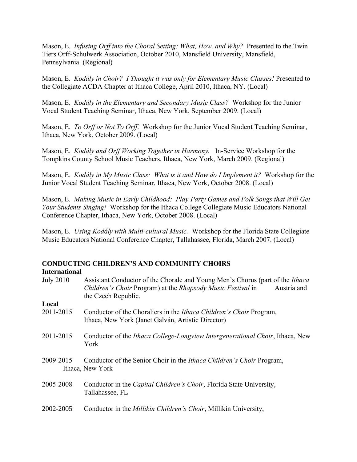Mason, E*. Infusing Orff into the Choral Setting: What, How, and Why?* Presented to the Twin Tiers Orff-Schulwerk Association, October 2010, Mansfield University, Mansfield, Pennsylvania. (Regional)

Mason, E*. Kodály in Choir? I Thought it was only for Elementary Music Classes!* Presented to the Collegiate ACDA Chapter at Ithaca College, April 2010, Ithaca, NY. (Local)

Mason, E*. Kodály in the Elementary and Secondary Music Class?* Workshop for the Junior Vocal Student Teaching Seminar, Ithaca, New York, September 2009. (Local)

Mason, E*. To Orff or Not To Orff*. Workshop for the Junior Vocal Student Teaching Seminar, Ithaca, New York, October 2009. (Local)

Mason, E*. Kodály and Orff Working Together in Harmony.* In-Service Workshop for the Tompkins County School Music Teachers, Ithaca, New York, March 2009. (Regional)

Mason, E*. Kodály in My Music Class: What is it and How do I Implement it?* Workshop for the Junior Vocal Student Teaching Seminar, Ithaca, New York, October 2008. (Local)

Mason, E*. Making Music in Early Childhood: Play Party Games and Folk Songs that Will Get Your Students Singing!* Workshop for the Ithaca College Collegiate Music Educators National Conference Chapter, Ithaca, New York, October 2008. (Local)

Mason, E*. Using Kodály with Multi-cultural Music.* Workshop for the Florida State Collegiate Music Educators National Conference Chapter, Tallahassee, Florida, March 2007. (Local)

#### **CONDUCTING CHILDREN'S AND COMMUNITY CHOIRS International**

| <b>July 2010</b> | Assistant Conductor of the Chorale and Young Men's Chorus (part of the <i>Ithaca</i><br>Children's Choir Program) at the Rhapsody Music Festival in<br>Austria and<br>the Czech Republic. |
|------------------|-------------------------------------------------------------------------------------------------------------------------------------------------------------------------------------------|
| Local            |                                                                                                                                                                                           |
| 2011-2015        | Conductor of the Choraliers in the Ithaca Children's Choir Program,<br>Ithaca, New York (Janet Galván, Artistic Director)                                                                 |
| 2011-2015        | Conductor of the <i>Ithaca College-Longview Intergenerational Choir</i> , Ithaca, New<br>York                                                                                             |
| 2009-2015        | Conductor of the Senior Choir in the <i>Ithaca Children's Choir Program</i> ,<br>Ithaca, New York                                                                                         |
| 2005-2008        | Conductor in the <i>Capital Children's Choir</i> , Florida State University,<br>Tallahassee, FL                                                                                           |
| 2002-2005        | Conductor in the <i>Millikin Children's Choir</i> , Millikin University,                                                                                                                  |
|                  |                                                                                                                                                                                           |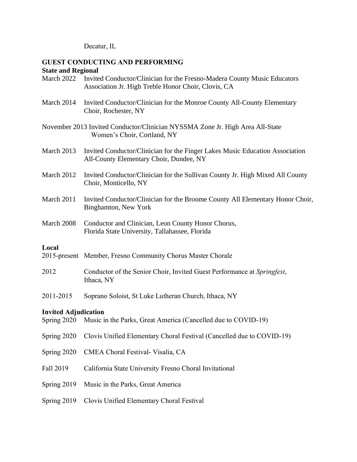Decatur, IL

#### **GUEST CONDUCTING AND PERFORMING State and Regional**

|  | March 2022 Invited Conductor/Clinician for the Fresno-Madera County Music Educators |
|--|-------------------------------------------------------------------------------------|
|  | Association Jr. High Treble Honor Choir, Clovis, CA                                 |

- March 2014 Invited Conductor/Clinician for the Monroe County All-County Elementary Choir, Rochester, NY
- November 2013 Invited Conductor/Clinician NYSSMA Zone Jr. High Area All-State Women's Choir, Cortland, NY
- March 2013 Invited Conductor/Clinician for the Finger Lakes Music Education Association All-County Elementary Choir, Dundee, NY
- March 2012 Invited Conductor/Clinician for the Sullivan County Jr. High Mixed All County Choir, Monticello, NY
- March 2011 Invited Conductor/Clinician for the Broome County All Elementary Honor Choir, Binghamton, New York
- March 2008 Conductor and Clinician, Leon County Honor Chorus, Florida State University, Tallahassee, Florida

# **Local**

- 2015-present Member, Fresno Community Chorus Master Chorale
- 2012 Conductor of the Senior Choir, Invited Guest Performance at *Springfest*, Ithaca, NY
- 2011-2015 Soprano Soloist, St Luke Lutheran Church, Ithaca, NY

# **Invited Adjudication**

- Spring 2020 Music in the Parks, Great America (Cancelled due to COVID-19)
- Spring 2020 Clovis Unified Elementary Choral Festival (Cancelled due to COVID-19)
- Spring 2020 CMEA Choral Festival- Visalia, CA
- Fall 2019 California State University Fresno Choral Invitational
- Spring 2019 Music in the Parks, Great America
- Spring 2019 Clovis Unified Elementary Choral Festival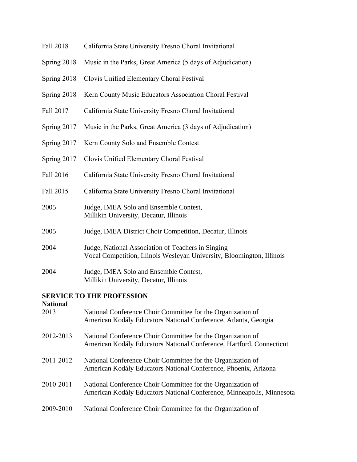- Fall 2018 California State University Fresno Choral Invitational
- Spring 2018 Music in the Parks, Great America (5 days of Adjudication)
- Spring 2018 Clovis Unified Elementary Choral Festival
- Spring 2018 Kern County Music Educators Association Choral Festival
- Fall 2017 California State University Fresno Choral Invitational
- Spring 2017 Music in the Parks, Great America (3 days of Adjudication)
- Spring 2017 Kern County Solo and Ensemble Contest
- Spring 2017 Clovis Unified Elementary Choral Festival
- Fall 2016 California State University Fresno Choral Invitational
- Fall 2015 California State University Fresno Choral Invitational
- 2005 Judge, IMEA Solo and Ensemble Contest, Millikin University, Decatur, Illinois
- 2005 Judge, IMEA District Choir Competition, Decatur, Illinois
- 2004 Judge, National Association of Teachers in Singing Vocal Competition, Illinois Wesleyan University, Bloomington, Illinois
- 2004 Judge, IMEA Solo and Ensemble Contest, Millikin University, Decatur, Illinois

## **SERVICE TO THE PROFESSION**

# **National** 2013 National Conference Choir Committee for the Organization of American Kodály Educators National Conference, Atlanta, Georgia 2012-2013 National Conference Choir Committee for the Organization of American Kodály Educators National Conference, Hartford, Connecticut 2011-2012 National Conference Choir Committee for the Organization of American Kodály Educators National Conference, Phoenix, Arizona 2010-2011 National Conference Choir Committee for the Organization of American Kodály Educators National Conference, Minneapolis, Minnesota 2009-2010 National Conference Choir Committee for the Organization of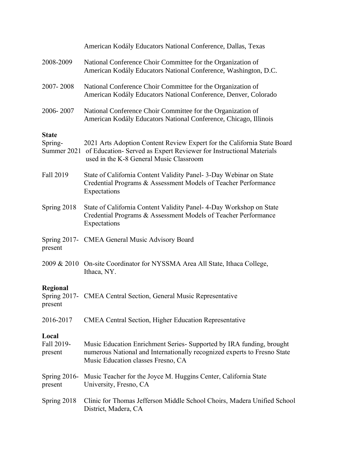|                                | American Kodály Educators National Conference, Dallas, Texas                                                                                                                                          |
|--------------------------------|-------------------------------------------------------------------------------------------------------------------------------------------------------------------------------------------------------|
| 2008-2009                      | National Conference Choir Committee for the Organization of<br>American Kodály Educators National Conference, Washington, D.C.                                                                        |
| 2007-2008                      | National Conference Choir Committee for the Organization of<br>American Kodály Educators National Conference, Denver, Colorado                                                                        |
| 2006-2007                      | National Conference Choir Committee for the Organization of<br>American Kodály Educators National Conference, Chicago, Illinois                                                                       |
| <b>State</b><br>Spring-        | 2021 Arts Adoption Content Review Expert for the California State Board<br>Summer 2021 of Education- Served as Expert Reviewer for Instructional Materials<br>used in the K-8 General Music Classroom |
| Fall 2019                      | State of California Content Validity Panel- 3-Day Webinar on State<br>Credential Programs & Assessment Models of Teacher Performance<br>Expectations                                                  |
| Spring 2018                    | State of California Content Validity Panel- 4-Day Workshop on State<br>Credential Programs & Assessment Models of Teacher Performance<br>Expectations                                                 |
| present                        | Spring 2017- CMEA General Music Advisory Board                                                                                                                                                        |
|                                | 2009 & 2010 On-site Coordinator for NYSSMA Area All State, Ithaca College,<br>Ithaca, NY.                                                                                                             |
| Regional<br>present            | Spring 2017- CMEA Central Section, General Music Representative                                                                                                                                       |
| 2016-2017                      | CMEA Central Section, Higher Education Representative                                                                                                                                                 |
| Local<br>Fall 2019-<br>present | Music Education Enrichment Series- Supported by IRA funding, brought<br>numerous National and Internationally recognized experts to Fresno State<br>Music Education classes Fresno, CA                |
| present                        | Spring 2016- Music Teacher for the Joyce M. Huggins Center, California State<br>University, Fresno, CA                                                                                                |
| Spring 2018                    | Clinic for Thomas Jefferson Middle School Choirs, Madera Unified School<br>District, Madera, CA                                                                                                       |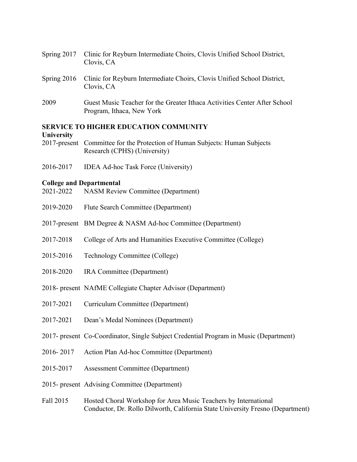- Spring 2017 Clinic for Reyburn Intermediate Choirs, Clovis Unified School District, Clovis, CA
- Spring 2016 Clinic for Reyburn Intermediate Choirs, Clovis Unified School District, Clovis, CA
- 2009 Guest Music Teacher for the Greater Ithaca Activities Center After School Program, Ithaca, New York

#### **SERVICE TO HIGHER EDUCATION COMMUNITY**

## **University**

- 2017-present Committee for the Protection of Human Subjects: Human Subjects Research (CPHS) (University)
- 2016-2017 IDEA Ad-hoc Task Force (University)

#### **College and Departmental**

- 2021-2022 NASM Review Committee (Department)
- 2019-2020 Flute Search Committee (Department)
- 2017-present BM Degree & NASM Ad-hoc Committee (Department)
- 2017-2018 College of Arts and Humanities Executive Committee (College)
- 2015-2016 Technology Committee (College)
- 2018-2020 IRA Committee (Department)
- 2018- present NAfME Collegiate Chapter Advisor (Department)
- 2017-2021 Curriculum Committee (Department)
- 2017-2021 Dean's Medal Nominees (Department)
- 2017- present Co-Coordinator, Single Subject Credential Program in Music (Department)
- 2016- 2017 Action Plan Ad-hoc Committee (Department)
- 2015-2017 Assessment Committee (Department)
- 2015- present Advising Committee (Department)
- Fall 2015 Hosted Choral Workshop for Area Music Teachers by International Conductor, Dr. Rollo Dilworth, California State University Fresno (Department)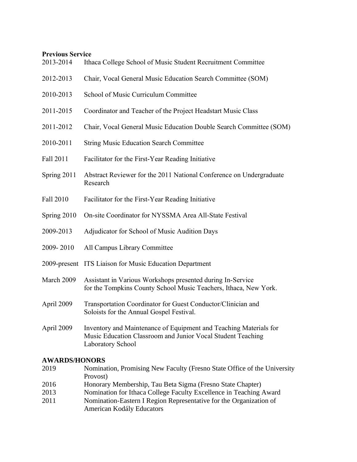# **Previous Service**

| 2013-2014   | Ithaca College School of Music Student Recruitment Committee                                                                                          |
|-------------|-------------------------------------------------------------------------------------------------------------------------------------------------------|
| 2012-2013   | Chair, Vocal General Music Education Search Committee (SOM)                                                                                           |
| 2010-2013   | School of Music Curriculum Committee                                                                                                                  |
| 2011-2015   | Coordinator and Teacher of the Project Headstart Music Class                                                                                          |
| 2011-2012   | Chair, Vocal General Music Education Double Search Committee (SOM)                                                                                    |
| 2010-2011   | <b>String Music Education Search Committee</b>                                                                                                        |
| Fall 2011   | Facilitator for the First-Year Reading Initiative                                                                                                     |
| Spring 2011 | Abstract Reviewer for the 2011 National Conference on Undergraduate<br>Research                                                                       |
| Fall 2010   | Facilitator for the First-Year Reading Initiative                                                                                                     |
| Spring 2010 | On-site Coordinator for NYSSMA Area All-State Festival                                                                                                |
| 2009-2013   | Adjudicator for School of Music Audition Days                                                                                                         |
| 2009-2010   | All Campus Library Committee                                                                                                                          |
|             | 2009-present ITS Liaison for Music Education Department                                                                                               |
| March 2009  | Assistant in Various Workshops presented during In-Service<br>for the Tompkins County School Music Teachers, Ithaca, New York.                        |
| April 2009  | Transportation Coordinator for Guest Conductor/Clinician and<br>Soloists for the Annual Gospel Festival.                                              |
| April 2009  | Inventory and Maintenance of Equipment and Teaching Materials for<br>Music Education Classroom and Junior Vocal Student Teaching<br>Laboratory School |

# **AWARDS/HONORS**

| Honorary Membership, Tau Beta Sigma (Fresno State Chapter)         |
|--------------------------------------------------------------------|
| Nomination for Ithaca College Faculty Excellence in Teaching Award |
| Nomination-Eastern I Region Representative for the Organization of |
|                                                                    |